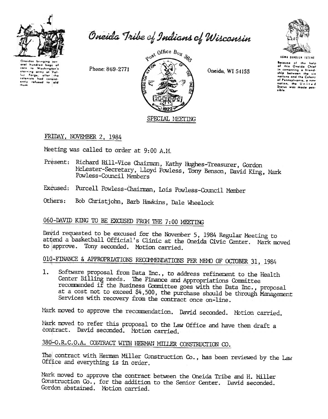

Oneida Tribe of Indians of Wisconsin

Oneidas bringing eral hundred bags of corn to Washington's starving army of Val. ly Forge, after the

Phone: 869-2771



Oneida, WI 54155



**Because** of the help<br>of this Oneido Chief in comenting a friendship between the six ship between the six<br>nations and the Colony<br>of Pennsylvania, a new<br>nation, the United<br>Status was made possible

FRIDAY, NOVEMBER 2, 1984

Meeting was called to order at 9:00 A.M.

- Present: Richard Hill-Vice Chairman, Kathy Hughes-Treasurer, Gordon McLester-Secretary, Lloyd Powless, Tony Benson, David King, Mark Powless-Council Members
- Excused: Purcell Powless-Chairman, Lois Powless-Council Member
- Others: Bob Christjohn, Barb Hawkins, Dale Wheelock

# 060-DAVID KING TO BE EXCUSED FROM THE 7:00 MEETING

David requested to be excused for the November 5, 1984 Regular Meeting to attend a basketball Official's Clinic at the Oneida Civic Center. Mark moved to approve. Tony seconded. Motion carried.

# 010-FINANCE & APPROPRIATIONS RECOMMENDATIONS PER MEMO OF OCTOBER 31, 1984

Software proposal from Data Inc., to address refinement to the Health 1. Center Billing needs. The Finance and Appropriations Committee recommended if the Business Committee goes with the Data Inc., proposal at a cost not to exceed \$4,500, the purchase should be through Management Services with recovery from the contract once on-line.

Mark moved to approve the recommendation. David seconded. Motion carried.

Mark moved to refer this proposal to the Law Office and have them draft a contract. David seconded. Motion carried.

# 380-O.R.C.O.A. CONTRACT WITH HERMAN MILLER CONSTRUCTION CO.

The contract with Herman Miller Construction Co., has been reviewed by the Law Office and everything is in order.

Mark moved to approve the contract between the Oneida Tribe and H. Miller Construction Co., for the addition to the Senior Center. David seconded. Gordon abstained. Motion carried.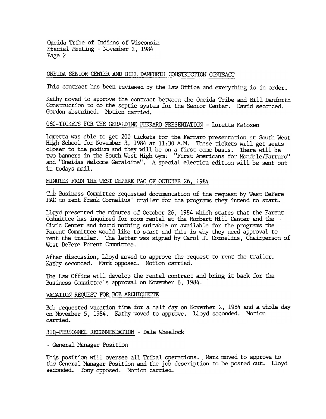Oneida Tribe of Indians of Wisconsin Special Meeting - November 2, 1984 Page 2

### ONEIDA SENIOR CENTER AND BILL DANFORTH CONSTRUCTION CONTRACT

This contract has been reviewed by the law Office and everything is in order.

Kathy moved to approve the contract between the Oneida Tribe and Bill Danforth Construction to do the septic system for the Senior Center. David seconded. Gordon abstained. Motion carried.

# 060-TICKETS FOR THE GERALDINE FERRARO PRESENTATION - Loretta Metoxen

Loretta was able to get 200 tickets for the Ferraro presentation at South West High School for November 3, 1984 at 11:30 A.M. These tickets will get seats closer to the podium and they will be on a first come basis. There will be two barmers in the South West High Gym: "First Americans for Mondale/Farraro" and "Oneidas Welcome Geraldine". A special election edition will be sent out in todays mail.

# MINUTES FROM THE WEST DEPERE PAC OF OCTOBER 26, 1984

The Business Committee requested documentation of the request by West DePere PAC to rent Frank Cornelius' trailer for the programs they intend to start.

Lloyd presented the minutes of October 26, 1984 which states that the Parent Committee has inquired for room rental at the Norbert Hill Center and the Civic Center and found nothing suitable or available for the programs the Parent Committee would like to start and this is why they need approval to rent the trailer. The letter was signed by Carol J. Cornelius, Chairperson of West DePere Parent Committee.

After discussion, Lloyd moved to approve the request to rent the trailer. Kathy seconded. Mark opposed. Motion carried.

The Law Office will develop the rental contract and bring it back for the Business Committee's approval on November 6, 1984.

## VACATION REQUEST FOR BOB ARCHIQUETTE

Bob requested vacation time for a half day on November 2, 1984 and a whole day on November 5, 1984. Kathy moved to approve. Lloyd seconded. Motion carried.

#### 310-PERSONNEL RECOMMENDATION - Dale Wheelock

- General Manager Position

This position will oversee all Tribal operations. . Mark moved to approve to the General Manager Position and the job description to be posted out. Lloyd seconded. Tony opposed. Motion carried.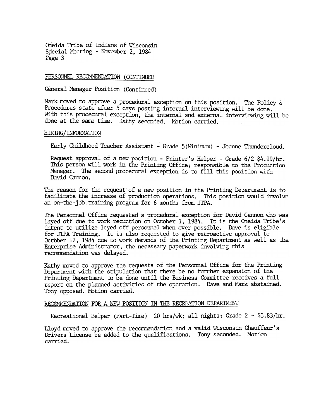Oneida Tribe of Indians of Wisconsin Splecial Meeting - November 2, 1984 Page 3

## PERSONNEL RECOMMENDATION (CONTINUED)

General Manager Position (Continued)

Mark moved to approve a procedural exception on this position. The Policy  $\&$ Procedures state after 5 days posting internal interviewing will be done. With this procedural exception, the internal and external interviewing will be done at the same time. Kathy seconded. Motion carried.

## HIRING/INFORMATION

Early Childhood Teacher Assistant - Grade 5 (Minimum) - Joanne Thundercloud.

Request approval of a new position - Printer's Helper - Grade  $6/2$  \$4.99/hr. This person will work in the Printing Office; responsible to the Production Manager. The second procedural exception is to fill this position with David Cannon.

The reason for the request of a new position in the Printing Department is to facilitate the increase of production operations. This position would involve an on-the-job training program for 6 nonths from JTPA.

The Personnel Office requested a procedural exception for David Cannon who was layed off due to work reduction on October 1, 1984. It is the Oneida Tribe's  $int$ ent to utilize layed off personnel when ever possible. Dave is eligible for JTPA Training. It is also requested to give retroactive approval to October 12, 1984 due to work demands of the Printing Department as well as the Enterprise Administrator, the necessary paperwork involving this recommendation was delayed.

Kathy moved to approve the requests of the Personnel Office for the Printing Department with the stipulation that there be no further expansion of the Printing Department to be done until the Business Committee receives a full report on the planned activities of the operation. Dave and Mark abstained. Tony opposed. Mbtion carried.

## RECOMMENDATION FOR A NEW POSITION IN THE RECREATION DEPARTMENT

Recreational Helper (Part-Time) 20 hrs/wk; all nights; Grade  $2 - $3.83/hr$ .

Lloyd moved to approve the recommendation and a valid Wisconsin Chauffeur's Drivers License be added to the qualifications. Tony seconded. Motion carried.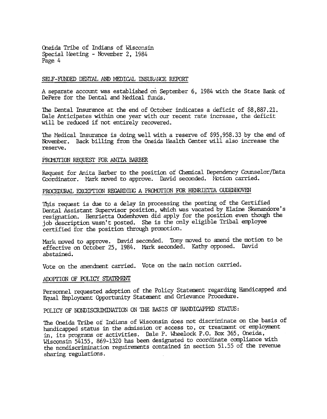Oneida Tribe of Indians of Wisconsin Special Neeting - November 2, 1984 Page 4

#### SELF-FUNDED DENTAL AND MEDICAL INSURANCE REPORT

A separate account was established on September 6, 1984 with the State Bank of DePere for the Dental and Medical funds.

The Dental Insurance at the end of October indicates a deficit of \$8,887.21. Dale Anticipates within one year with our recent rate increase, the deficit will be reduced if not entirely recovered.

The Medical Insurance is doing well with a reserve of \$95,958.33 by the end of November. Back billing from the Oneida Health Center will also increase the reserve.

#### PROMOTION REQUEST FOR ANITA BARBER

Request for Anita Barber to the position of Chemical Dependency Counselor/Data Coordinator. Mark moved to approve. David seconded. Motion carried.

# PROCEDURAL EXCEPTION REGARDING A PROMOTION FOR HENRIETTA OUDENHOVEN

This request is due to a delay in processing the posting of the Certified Dental Assistant Supervisor position, which was vacated by Elaine Skenandore's resignation. Henrietta Oudenhoven did apply for the position even though the job description wasn't posted. She is the only eligible Tribal employee certified for the position through promotion.

Mark moved to approve. David seconded. Tony moved to amend the motion to be effective on October 25, 1984. Mark seconded. Kathy opposed. David abstained.

Vote on the amendment carried. Vote on the main motion carried.

# ADOPTION OF POLICY STATEMENT

Personnel requested adoption of the Policy Statement regarding Handicapped and Equal Employment Opportunity Statement and Grievance Procedure.

POLICY OF NONDISCRIMINATION ON THE BASIS OF HANDICAPPED STATUS:

The Oneida Tribe of Indians of Wisconsin does not discriminate on the basis of handicapped status in the admission or access to, or treatment or employment in, its programs or activities. Dale P. Wheelock P.O. Box 365, Oneida, Wisconsin 54155, 869-1320 has been designated to coordinate compliance with the nondiscrimination reguirements contained in section 51.55 of the revenue sharing regulations.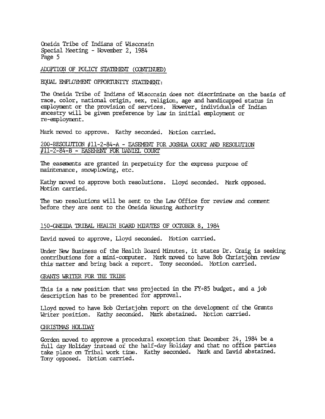Oneida Tribe of Indians of Wisconsin Special Meeting - November 2, 1984 Page 5

## ADOPTION OF POLICY STATEMENT (CONTINUED)

EQUAL EMPLOYMENT OPPORTUNITY STATEMENT:

The Oneida Tribe of Indians of Wisconsin does not discriminate on the basis of race, color, national origin, sex, religion, age and handicapped status in employment or the provision of services. However, individuals of Indian ancestry will be given preference by law in initial employment or re-employment.

Mark moved to approve. Kathy seconded. Motion carried.

## 200-RESOLUTION #11-2-84-A - EASEMENT FOR JOSHUA COURT AND RESOLUTION #11-2-84-B - EASEMENT FOR DANIEL COURT

The easements are granted in perpetuity for the express purpose of maintenance, snowplowing, etc.

Kathy moved to approve both resolutions. Lloyd seconded. Mark opposed. Motion carried.

The two resolutions will be sent to the Law Office for review and comment before they are sent to the Oneida Housing Authority

#### 150-CNEIDA TRIBAL HEALTH ECARD MINUTES OF OCTOBER 8, 1984

David moved to approve, Lloyd seconded. Motion carried.

Under New Business of the Health Board Minutes, it states Dr. Craig is seeking contributions for a mini-computer. Mark moved to have Bob Christjohn review this matter and bring back a report. Tony seconded. Motion carried.

#### GRANTS WRITER FOR THE TRIBE

This is a new position that was projected in the FY-85 budget, and a job description has to be presented for approval.

Lloyd moved to have Bob Christjohn report on the development of the Grants Writer position. Kathy seconded. Mark abstained. Notion carried.

#### CHRISTMAS HOLIDAY

Gordon moved to approve a procedural exception that December 24, 1984 be a full day Holiday instead of the half-day Holiday and that no office parties take place on Tribal work time. Kathy seconded. Mark and David abstained. Tony opposed. Notion carried.